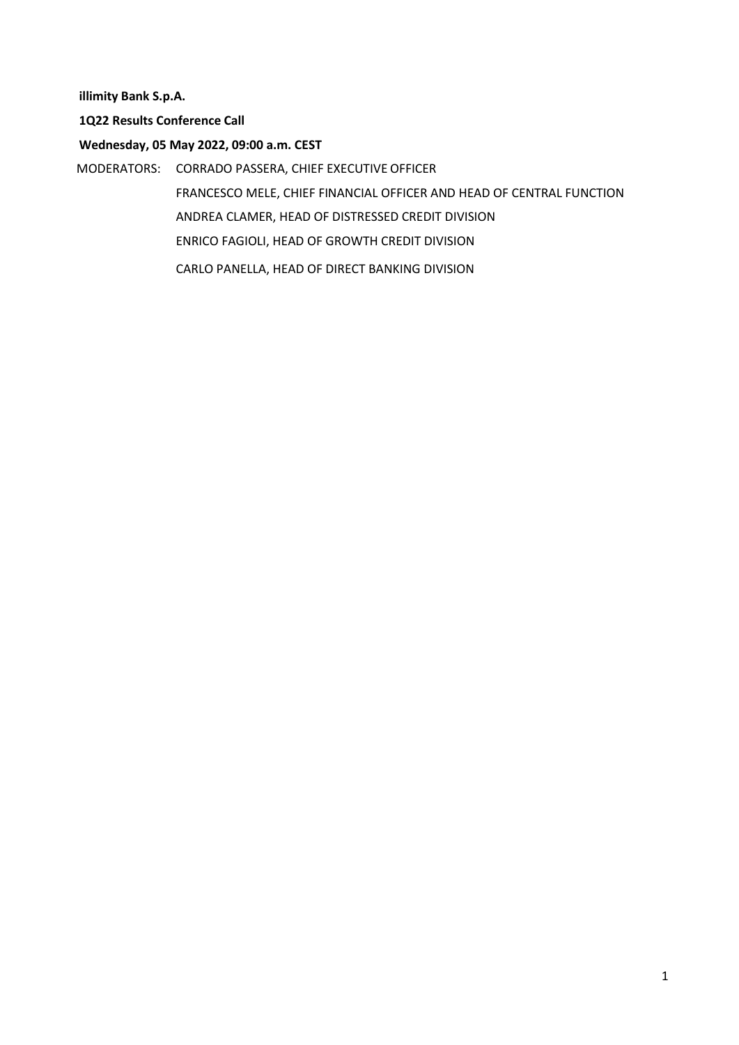**illimity Bank S.p.A.**

**1Q22 Results Conference Call**

**Wednesday, 05 May 2022, 09:00 a.m. CEST**

MODERATORS: CORRADO PASSERA, CHIEF EXECUTIVE OFFICER FRANCESCO MELE, CHIEF FINANCIAL OFFICER AND HEAD OF CENTRAL FUNCTION ANDREA CLAMER, HEAD OF DISTRESSED CREDIT DIVISION ENRICO FAGIOLI, HEAD OF GROWTH CREDIT DIVISION CARLO PANELLA, HEAD OF DIRECT BANKING DIVISION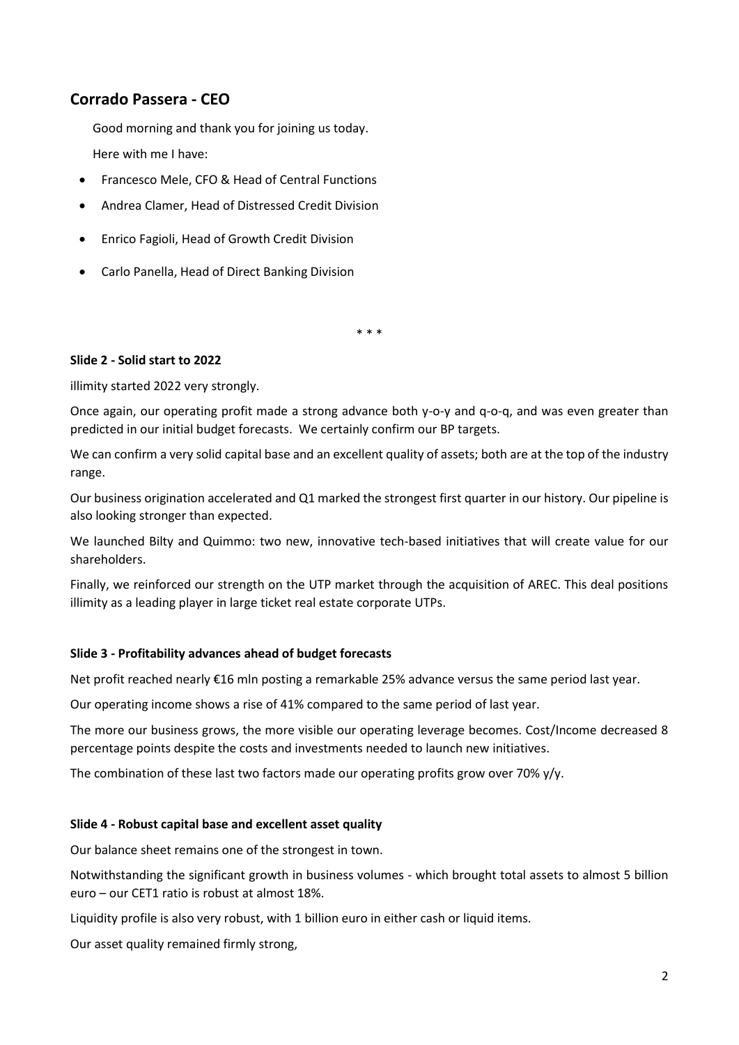# **Corrado Passera - CEO**

Good morning and thank you for joining us today. Here with me I have:

- Francesco Mele, CFO & Head of Central Functions
- Andrea Clamer, Head of Distressed Credit Division
- Enrico Fagioli, Head of Growth Credit Division
- Carlo Panella, Head of Direct Banking Division

\* \* \*

## **Slide 2 - Solid start to 2022**

illimity started 2022 very strongly.

Once again, our operating profit made a strong advance both y-o-y and q-o-q, and was even greater than predicted in our initial budget forecasts. We certainly confirm our BP targets.

We can confirm a very solid capital base and an excellent quality of assets; both are at the top of the industry range.

Our business origination accelerated and Q1 marked the strongest first quarter in our history. Our pipeline is also looking stronger than expected.

We launched Bilty and Quimmo: two new, innovative tech-based initiatives that will create value for our shareholders.

Finally, we reinforced our strength on the UTP market through the acquisition of AREC. This deal positions illimity as a leading player in large ticket real estate corporate UTPs.

#### **Slide 3 - Profitability advances ahead of budget forecasts**

Net profit reached nearly €16 mln posting a remarkable 25% advance versus the same period last year.

Our operating income shows a rise of 41% compared to the same period of last year.

The more our business grows, the more visible our operating leverage becomes. Cost/Income decreased 8 percentage points despite the costs and investments needed to launch new initiatives.

The combination of these last two factors made our operating profits grow over 70%  $y/y$ .

#### **Slide 4 - Robust capital base and excellent asset quality**

Our balance sheet remains one of the strongest in town.

Notwithstanding the significant growth in business volumes - which brought total assets to almost 5 billion euro – our CET1 ratio is robust at almost 18%.

Liquidity profile is also very robust, with 1 billion euro in either cash or liquid items.

Our asset quality remained firmly strong,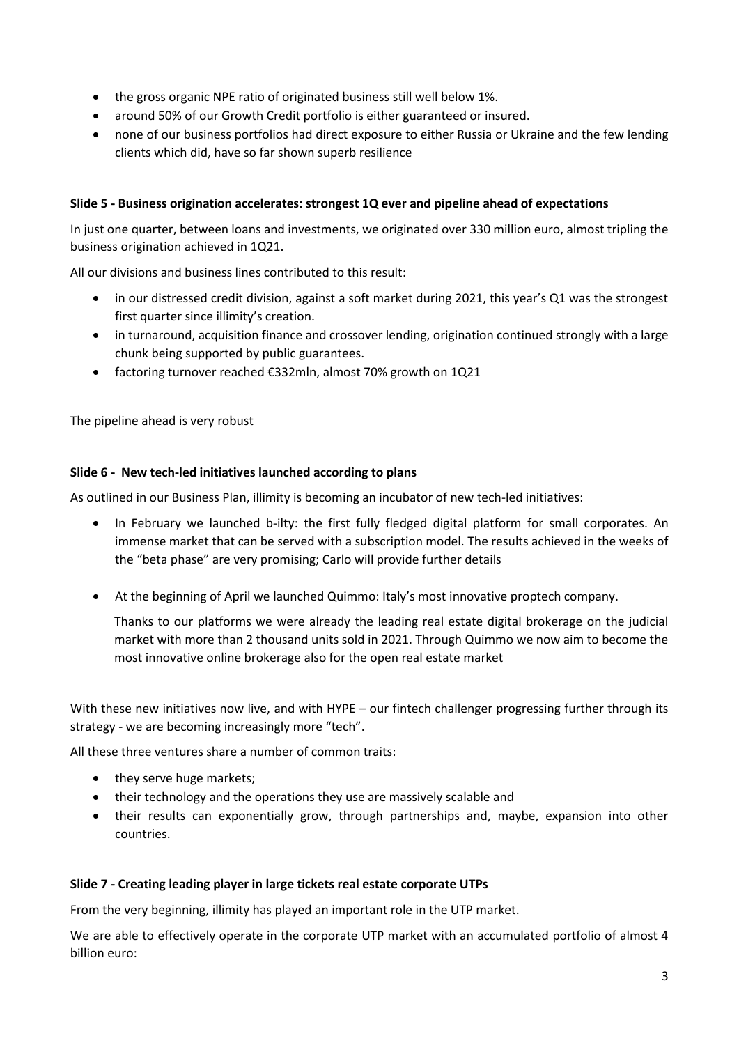- the gross organic NPE ratio of originated business still well below 1%.
- around 50% of our Growth Credit portfolio is either guaranteed or insured.
- none of our business portfolios had direct exposure to either Russia or Ukraine and the few lending clients which did, have so far shown superb resilience

# **Slide 5 - Business origination accelerates: strongest 1Q ever and pipeline ahead of expectations**

In just one quarter, between loans and investments, we originated over 330 million euro, almost tripling the business origination achieved in 1Q21.

All our divisions and business lines contributed to this result:

- in our distressed credit division, against a soft market during 2021, this year's Q1 was the strongest first quarter since illimity's creation.
- in turnaround, acquisition finance and crossover lending, origination continued strongly with a large chunk being supported by public guarantees.
- factoring turnover reached €332mln, almost 70% growth on 1Q21

The pipeline ahead is very robust

## **Slide 6 - New tech-led initiatives launched according to plans**

As outlined in our Business Plan, illimity is becoming an incubator of new tech-led initiatives:

- In February we launched b-ilty: the first fully fledged digital platform for small corporates. An immense market that can be served with a subscription model. The results achieved in the weeks of the "beta phase" are very promising; Carlo will provide further details
- At the beginning of April we launched Quimmo: Italy's most innovative proptech company.

Thanks to our platforms we were already the leading real estate digital brokerage on the judicial market with more than 2 thousand units sold in 2021. Through Quimmo we now aim to become the most innovative online brokerage also for the open real estate market

With these new initiatives now live, and with HYPE – our fintech challenger progressing further through its strategy - we are becoming increasingly more "tech".

All these three ventures share a number of common traits:

- they serve huge markets;
- their technology and the operations they use are massively scalable and
- their results can exponentially grow, through partnerships and, maybe, expansion into other countries.

#### **Slide 7 - Creating leading player in large tickets real estate corporate UTPs**

From the very beginning, illimity has played an important role in the UTP market.

We are able to effectively operate in the corporate UTP market with an accumulated portfolio of almost 4 billion euro: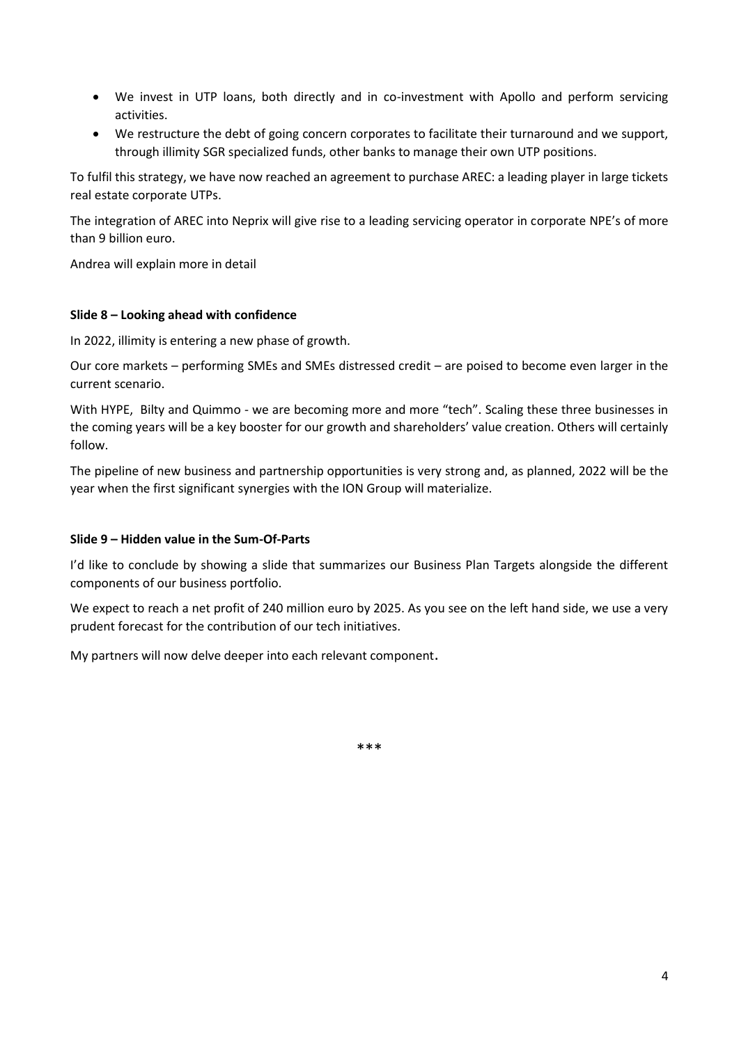- We invest in UTP loans, both directly and in co-investment with Apollo and perform servicing activities.
- We restructure the debt of going concern corporates to facilitate their turnaround and we support, through illimity SGR specialized funds, other banks to manage their own UTP positions.

To fulfil this strategy, we have now reached an agreement to purchase AREC: a leading player in large tickets real estate corporate UTPs.

The integration of AREC into Neprix will give rise to a leading servicing operator in corporate NPE's of more than 9 billion euro.

Andrea will explain more in detail

## **Slide 8 – Looking ahead with confidence**

In 2022, illimity is entering a new phase of growth.

Our core markets – performing SMEs and SMEs distressed credit – are poised to become even larger in the current scenario.

With HYPE, Bilty and Quimmo - we are becoming more and more "tech". Scaling these three businesses in the coming years will be a key booster for our growth and shareholders' value creation. Others will certainly follow.

The pipeline of new business and partnership opportunities is very strong and, as planned, 2022 will be the year when the first significant synergies with the ION Group will materialize.

# **Slide 9 – Hidden value in the Sum-Of-Parts**

I'd like to conclude by showing a slide that summarizes our Business Plan Targets alongside the different components of our business portfolio.

We expect to reach a net profit of 240 million euro by 2025. As you see on the left hand side, we use a very prudent forecast for the contribution of our tech initiatives.

My partners will now delve deeper into each relevant component.

\*\*\*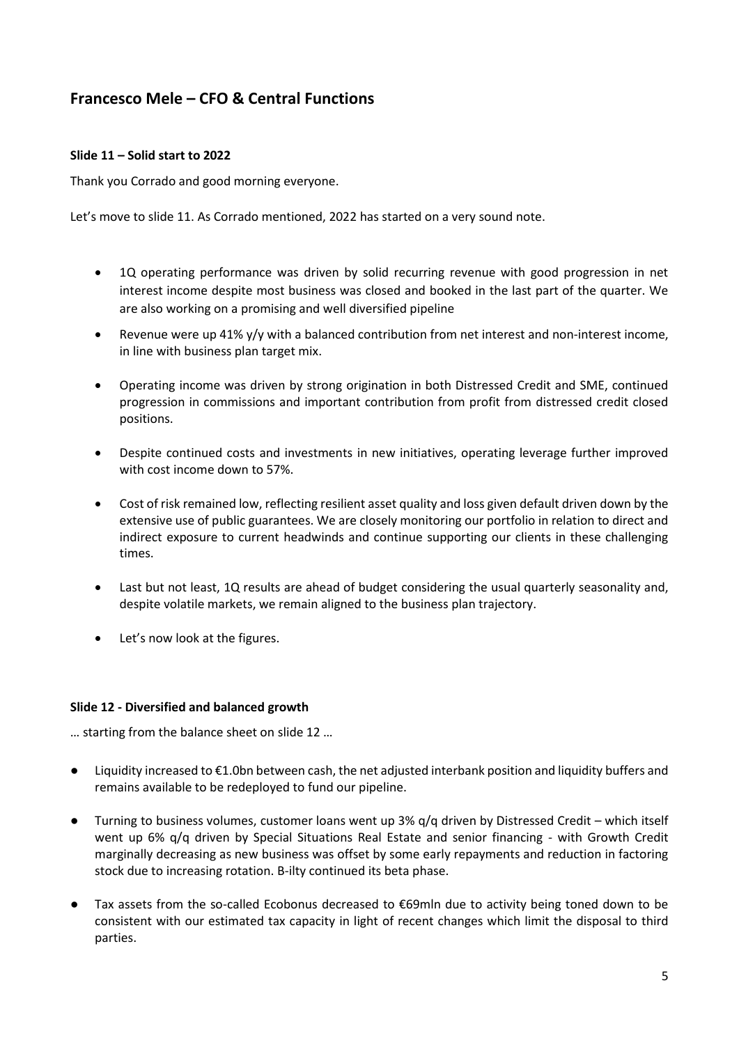# **Francesco Mele – CFO & Central Functions**

# **Slide 11 – Solid start to 2022**

Thank you Corrado and good morning everyone.

Let's move to slide 11. As Corrado mentioned, 2022 has started on a very sound note.

- 1Q operating performance was driven by solid recurring revenue with good progression in net interest income despite most business was closed and booked in the last part of the quarter. We are also working on a promising and well diversified pipeline
- Revenue were up 41% y/y with a balanced contribution from net interest and non-interest income, in line with business plan target mix.
- Operating income was driven by strong origination in both Distressed Credit and SME, continued progression in commissions and important contribution from profit from distressed credit closed positions.
- Despite continued costs and investments in new initiatives, operating leverage further improved with cost income down to 57%.
- Cost of risk remained low, reflecting resilient asset quality and loss given default driven down by the extensive use of public guarantees. We are closely monitoring our portfolio in relation to direct and indirect exposure to current headwinds and continue supporting our clients in these challenging times.
- Last but not least, 1Q results are ahead of budget considering the usual quarterly seasonality and, despite volatile markets, we remain aligned to the business plan trajectory.
- Let's now look at the figures.

#### **Slide 12 - Diversified and balanced growth**

… starting from the balance sheet on slide 12 …

- Liquidity increased to €1.0bn between cash, the net adjusted interbank position and liquidity buffers and remains available to be redeployed to fund our pipeline.
- Turning to business volumes, customer loans went up 3% q/q driven by Distressed Credit which itself went up 6% q/q driven by Special Situations Real Estate and senior financing - with Growth Credit marginally decreasing as new business was offset by some early repayments and reduction in factoring stock due to increasing rotation. B-ilty continued its beta phase.
- Tax assets from the so-called Ecobonus decreased to €69mln due to activity being toned down to be consistent with our estimated tax capacity in light of recent changes which limit the disposal to third parties.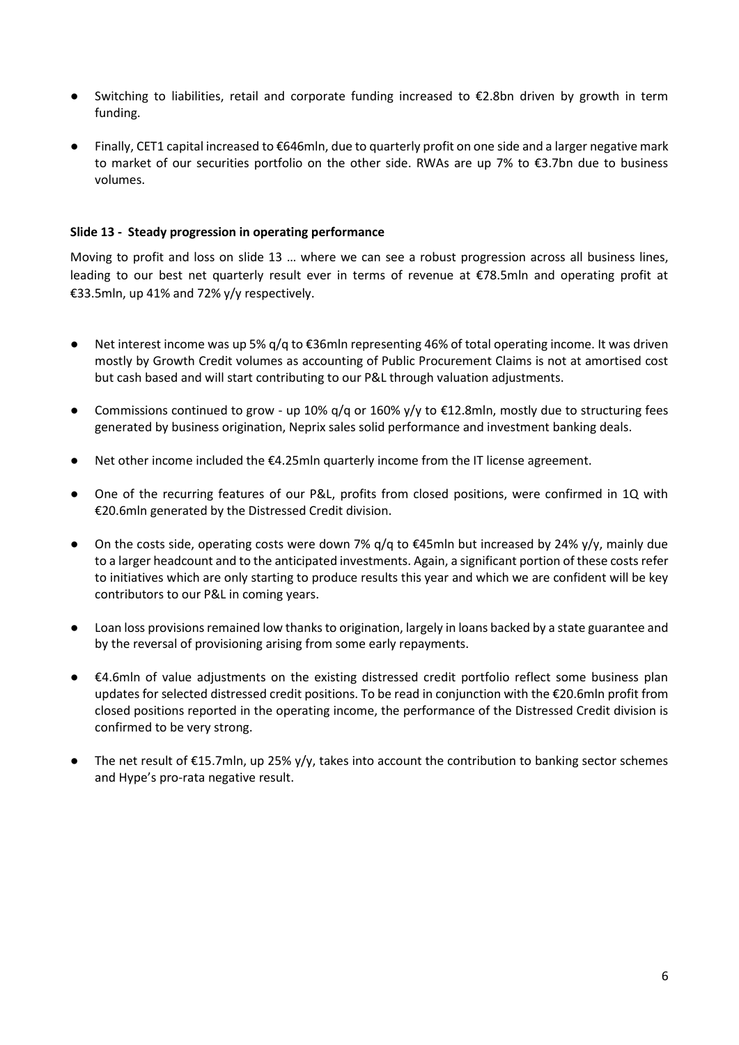- Switching to liabilities, retail and corporate funding increased to €2.8bn driven by growth in term funding.
- Finally, CET1 capital increased to €646mln, due to quarterly profit on one side and a larger negative mark to market of our securities portfolio on the other side. RWAs are up 7% to €3.7bn due to business volumes.

## **Slide 13 - Steady progression in operating performance**

Moving to profit and loss on slide 13 … where we can see a robust progression across all business lines, leading to our best net quarterly result ever in terms of revenue at €78.5mln and operating profit at €33.5mln, up 41% and 72% y/y respectively.

- Net interest income was up 5% q/q to €36mln representing 46% of total operating income. It was driven mostly by Growth Credit volumes as accounting of Public Procurement Claims is not at amortised cost but cash based and will start contributing to our P&L through valuation adjustments.
- $\bullet$  Commissions continued to grow up 10% q/q or 160% y/y to €12.8mln, mostly due to structuring fees generated by business origination, Neprix sales solid performance and investment banking deals.
- Net other income included the  $\epsilon$ 4.25mln quarterly income from the IT license agreement.
- One of the recurring features of our P&L, profits from closed positions, were confirmed in 1Q with €20.6mln generated by the Distressed Credit division.
- On the costs side, operating costs were down 7%  $q/q$  to  $\epsilon$ 45mln but increased by 24% y/y, mainly due to a larger headcount and to the anticipated investments. Again, a significant portion of these costs refer to initiatives which are only starting to produce results this year and which we are confident will be key contributors to our P&L in coming years.
- Loan loss provisions remained low thanks to origination, largely in loans backed by a state guarantee and by the reversal of provisioning arising from some early repayments.
- €4.6mln of value adjustments on the existing distressed credit portfolio reflect some business plan updates for selected distressed credit positions. To be read in conjunction with the €20.6mln profit from closed positions reported in the operating income, the performance of the Distressed Credit division is confirmed to be very strong.
- The net result of  $E15.7$ mln, up 25% y/y, takes into account the contribution to banking sector schemes and Hype's pro-rata negative result.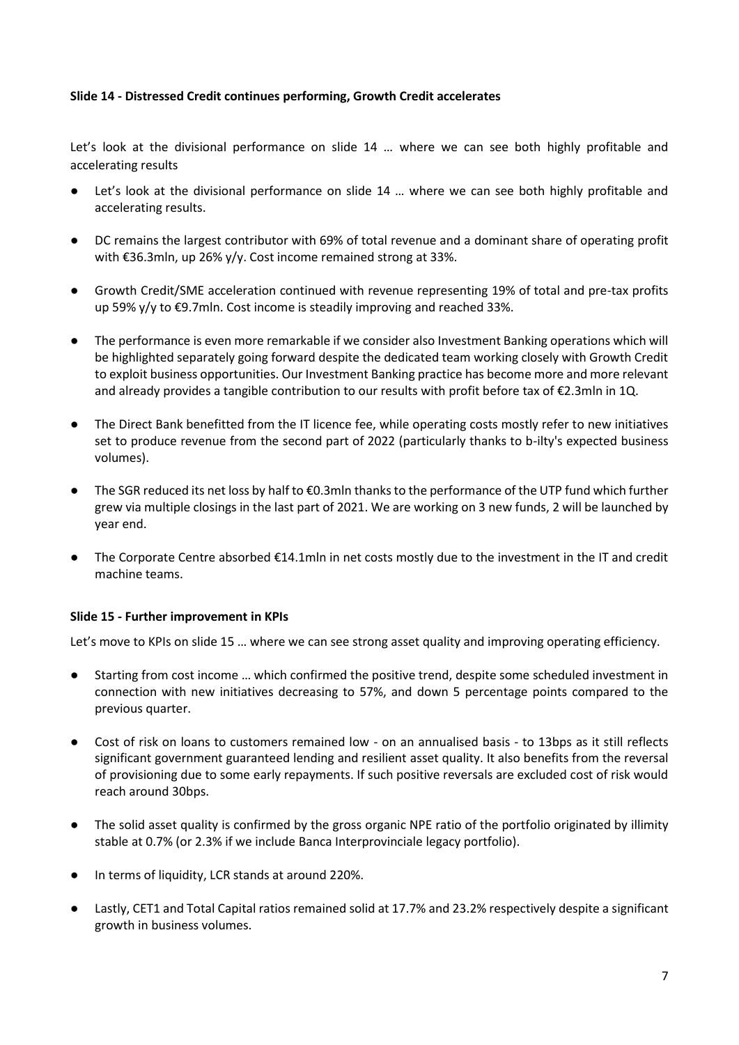## **Slide 14 - Distressed Credit continues performing, Growth Credit accelerates**

Let's look at the divisional performance on slide 14 ... where we can see both highly profitable and accelerating results

- Let's look at the divisional performance on slide 14 ... where we can see both highly profitable and accelerating results.
- DC remains the largest contributor with 69% of total revenue and a dominant share of operating profit with €36.3mln, up 26% y/y. Cost income remained strong at 33%.
- Growth Credit/SME acceleration continued with revenue representing 19% of total and pre-tax profits up 59% y/y to €9.7mln. Cost income is steadily improving and reached 33%.
- The performance is even more remarkable if we consider also Investment Banking operations which will be highlighted separately going forward despite the dedicated team working closely with Growth Credit to exploit business opportunities. Our Investment Banking practice has become more and more relevant and already provides a tangible contribution to our results with profit before tax of €2.3mln in 1Q.
- The Direct Bank benefitted from the IT licence fee, while operating costs mostly refer to new initiatives set to produce revenue from the second part of 2022 (particularly thanks to b-ilty's expected business volumes).
- The SGR reduced its net loss by half to €0.3mln thanks to the performance of the UTP fund which further grew via multiple closings in the last part of 2021. We are working on 3 new funds, 2 will be launched by year end.
- The Corporate Centre absorbed  $\epsilon$ 14.1mln in net costs mostly due to the investment in the IT and credit machine teams.

#### **Slide 15 - Further improvement in KPIs**

Let's move to KPIs on slide 15 … where we can see strong asset quality and improving operating efficiency.

- Starting from cost income … which confirmed the positive trend, despite some scheduled investment in connection with new initiatives decreasing to 57%, and down 5 percentage points compared to the previous quarter.
- Cost of risk on loans to customers remained low on an annualised basis to 13bps as it still reflects significant government guaranteed lending and resilient asset quality. It also benefits from the reversal of provisioning due to some early repayments. If such positive reversals are excluded cost of risk would reach around 30bps.
- The solid asset quality is confirmed by the gross organic NPE ratio of the portfolio originated by illimity stable at 0.7% (or 2.3% if we include Banca Interprovinciale legacy portfolio).
- In terms of liquidity, LCR stands at around 220%.
- Lastly, CET1 and Total Capital ratios remained solid at 17.7% and 23.2% respectively despite a significant growth in business volumes.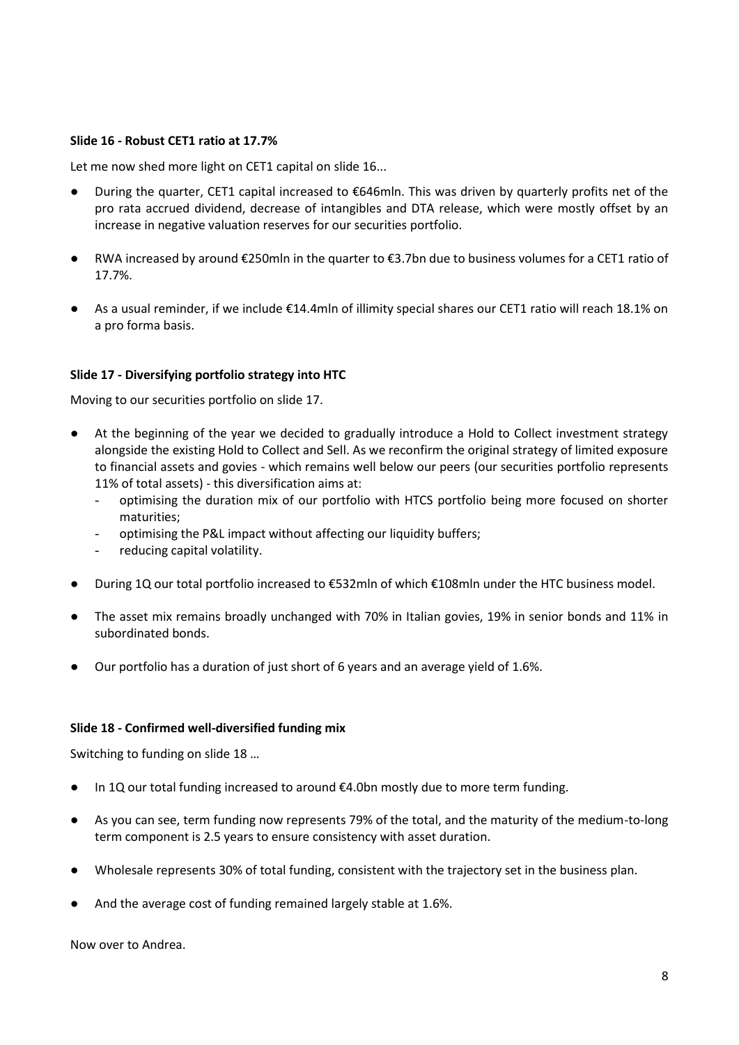#### **Slide 16 - Robust CET1 ratio at 17.7%**

Let me now shed more light on CET1 capital on slide 16...

- During the quarter, CET1 capital increased to €646mln. This was driven by quarterly profits net of the pro rata accrued dividend, decrease of intangibles and DTA release, which were mostly offset by an increase in negative valuation reserves for our securities portfolio.
- RWA increased by around €250mln in the quarter to €3.7bn due to business volumes for a CET1 ratio of 17.7%.
- As a usual reminder, if we include €14.4mln of illimity special shares our CET1 ratio will reach 18.1% on a pro forma basis.

## **Slide 17 - Diversifying portfolio strategy into HTC**

Moving to our securities portfolio on slide 17.

- At the beginning of the year we decided to gradually introduce a Hold to Collect investment strategy alongside the existing Hold to Collect and Sell. As we reconfirm the original strategy of limited exposure to financial assets and govies - which remains well below our peers (our securities portfolio represents 11% of total assets) - this diversification aims at:
	- optimising the duration mix of our portfolio with HTCS portfolio being more focused on shorter maturities;
	- optimising the P&L impact without affecting our liquidity buffers;
	- reducing capital volatility.
- During 1Q our total portfolio increased to €532mln of which €108mln under the HTC business model.
- The asset mix remains broadly unchanged with 70% in Italian govies, 19% in senior bonds and 11% in subordinated bonds.
- Our portfolio has a duration of just short of 6 years and an average yield of 1.6%.

#### **Slide 18 - Confirmed well-diversified funding mix**

Switching to funding on slide 18 …

- In 1Q our total funding increased to around €4.0bn mostly due to more term funding.
- As you can see, term funding now represents 79% of the total, and the maturity of the medium-to-long term component is 2.5 years to ensure consistency with asset duration.
- Wholesale represents 30% of total funding, consistent with the trajectory set in the business plan.
- And the average cost of funding remained largely stable at 1.6%.

Now over to Andrea.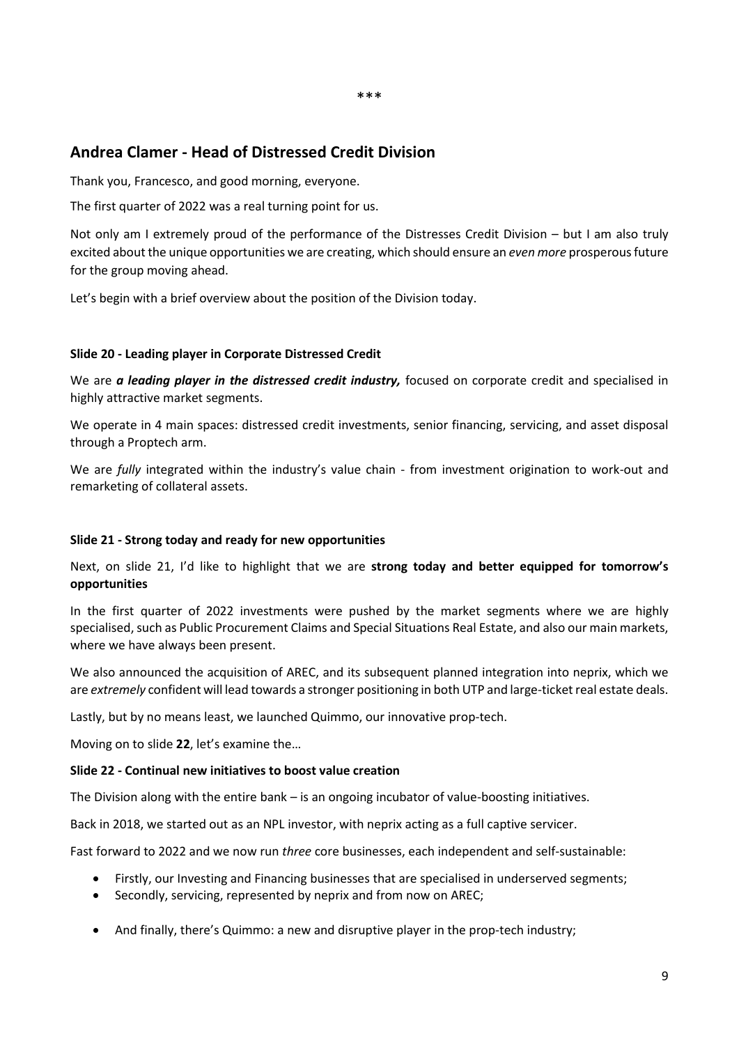# **Andrea Clamer - Head of Distressed Credit Division**

Thank you, Francesco, and good morning, everyone.

The first quarter of 2022 was a real turning point for us.

Not only am I extremely proud of the performance of the Distresses Credit Division – but I am also truly excited about the unique opportunities we are creating, which should ensure an *even more* prosperous future for the group moving ahead.

\*\*\*

Let's begin with a brief overview about the position of the Division today.

# **Slide 20 - Leading player in Corporate Distressed Credit**

We are *a leading player in the distressed credit industry*, focused on corporate credit and specialised in highly attractive market segments.

We operate in 4 main spaces: distressed credit investments, senior financing, servicing, and asset disposal through a Proptech arm.

We are *fully* integrated within the industry's value chain - from investment origination to work-out and remarketing of collateral assets.

#### **Slide 21 - Strong today and ready for new opportunities**

Next, on slide 21, I'd like to highlight that we are **strong today and better equipped for tomorrow's opportunities**

In the first quarter of 2022 investments were pushed by the market segments where we are highly specialised, such as Public Procurement Claims and Special Situations Real Estate, and also our main markets, where we have always been present.

We also announced the acquisition of AREC, and its subsequent planned integration into neprix, which we are *extremely* confident will lead towards a stronger positioning in both UTP and large-ticket real estate deals.

Lastly, but by no means least, we launched Quimmo, our innovative prop-tech.

Moving on to slide **22**, let's examine the…

#### **Slide 22 - Continual new initiatives to boost value creation**

The Division along with the entire bank – is an ongoing incubator of value-boosting initiatives.

Back in 2018, we started out as an NPL investor, with neprix acting as a full captive servicer.

Fast forward to 2022 and we now run *three* core businesses, each independent and self-sustainable:

- Firstly, our Investing and Financing businesses that are specialised in underserved segments;
- Secondly, servicing, represented by neprix and from now on AREC;
- And finally, there's Quimmo: a new and disruptive player in the prop-tech industry;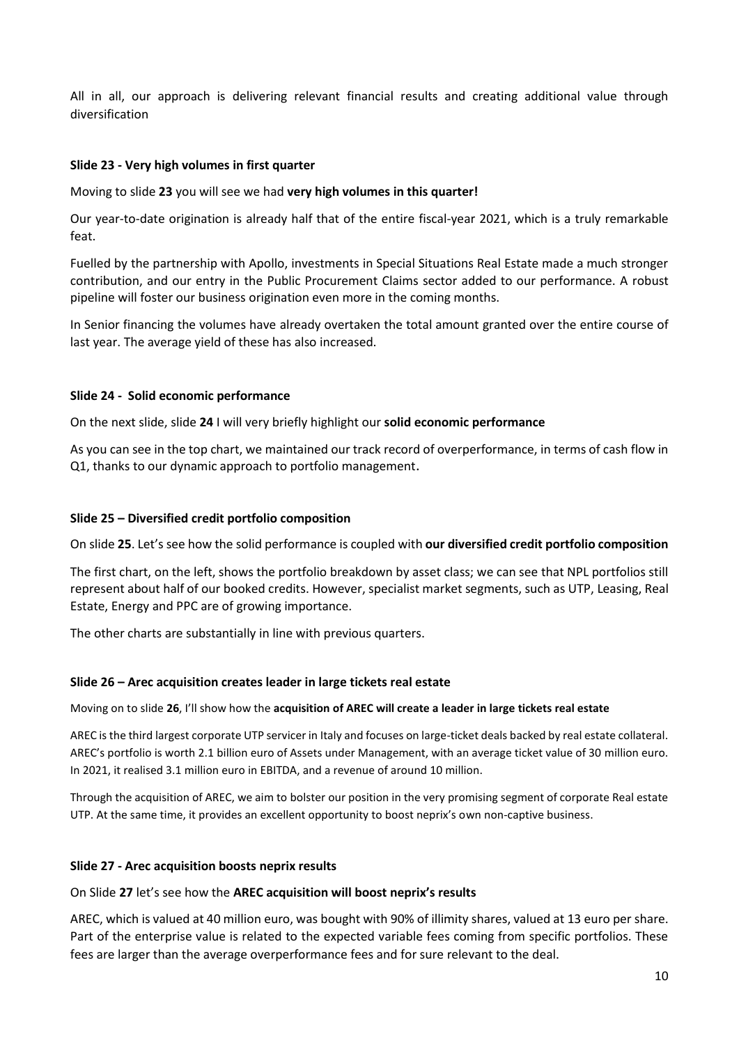All in all, our approach is delivering relevant financial results and creating additional value through diversification

# **Slide 23 - Very high volumes in first quarter**

Moving to slide **23** you will see we had **very high volumes in this quarter!**

Our year-to-date origination is already half that of the entire fiscal-year 2021, which is a truly remarkable feat.

Fuelled by the partnership with Apollo, investments in Special Situations Real Estate made a much stronger contribution, and our entry in the Public Procurement Claims sector added to our performance. A robust pipeline will foster our business origination even more in the coming months.

In Senior financing the volumes have already overtaken the total amount granted over the entire course of last year. The average yield of these has also increased.

#### **Slide 24 - Solid economic performance**

On the next slide, slide **24** I will very briefly highlight our **solid economic performance**

As you can see in the top chart, we maintained our track record of overperformance, in terms of cash flow in Q1, thanks to our dynamic approach to portfolio management.

## **Slide 25 – Diversified credit portfolio composition**

On slide **25**. Let's see how the solid performance is coupled with **our diversified credit portfolio composition**

The first chart, on the left, shows the portfolio breakdown by asset class; we can see that NPL portfolios still represent about half of our booked credits. However, specialist market segments, such as UTP, Leasing, Real Estate, Energy and PPC are of growing importance.

The other charts are substantially in line with previous quarters.

#### **Slide 26 – Arec acquisition creates leader in large tickets real estate**

#### Moving on to slide **26**, I'll show how the **acquisition of AREC will create a leader in large tickets real estate**

AREC is the third largest corporate UTP servicer in Italy and focuses on large-ticket deals backed by real estate collateral. AREC's portfolio is worth 2.1 billion euro of Assets under Management, with an average ticket value of 30 million euro. In 2021, it realised 3.1 million euro in EBITDA, and a revenue of around 10 million.

Through the acquisition of AREC, we aim to bolster our position in the very promising segment of corporate Real estate UTP. At the same time, it provides an excellent opportunity to boost neprix's own non-captive business.

#### **Slide 27 - Arec acquisition boosts neprix results**

#### On Slide **27** let's see how the **AREC acquisition will boost neprix's results**

AREC, which is valued at 40 million euro, was bought with 90% of illimity shares, valued at 13 euro per share. Part of the enterprise value is related to the expected variable fees coming from specific portfolios. These fees are larger than the average overperformance fees and for sure relevant to the deal.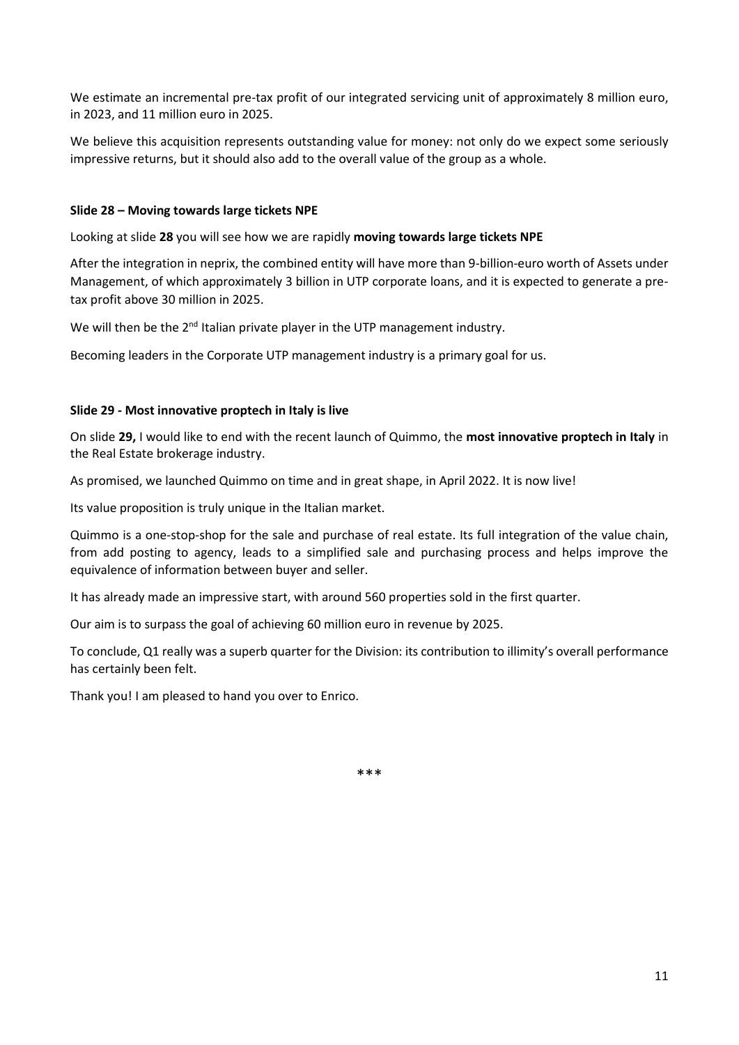We estimate an incremental pre-tax profit of our integrated servicing unit of approximately 8 million euro, in 2023, and 11 million euro in 2025.

We believe this acquisition represents outstanding value for money: not only do we expect some seriously impressive returns, but it should also add to the overall value of the group as a whole.

## **Slide 28 – Moving towards large tickets NPE**

Looking at slide **28** you will see how we are rapidly **moving towards large tickets NPE** 

After the integration in neprix, the combined entity will have more than 9-billion-euro worth of Assets under Management, of which approximately 3 billion in UTP corporate loans, and it is expected to generate a pretax profit above 30 million in 2025.

We will then be the  $2^{nd}$  Italian private player in the UTP management industry.

Becoming leaders in the Corporate UTP management industry is a primary goal for us.

## **Slide 29 - Most innovative proptech in Italy is live**

On slide **29,** I would like to end with the recent launch of Quimmo, the **most innovative proptech in Italy** in the Real Estate brokerage industry.

As promised, we launched Quimmo on time and in great shape, in April 2022. It is now live!

Its value proposition is truly unique in the Italian market.

Quimmo is a one-stop-shop for the sale and purchase of real estate. Its full integration of the value chain, from add posting to agency, leads to a simplified sale and purchasing process and helps improve the equivalence of information between buyer and seller.

It has already made an impressive start, with around 560 properties sold in the first quarter.

Our aim is to surpass the goal of achieving 60 million euro in revenue by 2025.

To conclude, Q1 really was a superb quarter for the Division: its contribution to illimity's overall performance has certainly been felt.

Thank you! I am pleased to hand you over to Enrico.

\*\*\*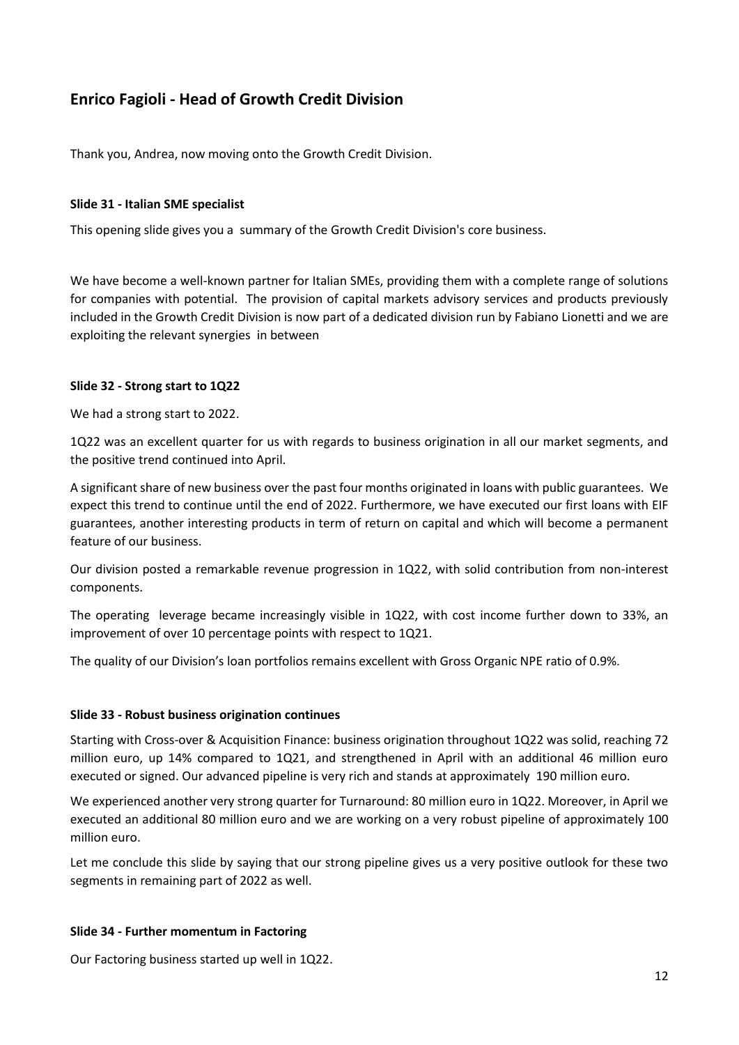# **Enrico Fagioli - Head of Growth Credit Division**

Thank you, Andrea, now moving onto the Growth Credit Division.

#### **Slide 31 - Italian SME specialist**

This opening slide gives you a summary of the Growth Credit Division's core business.

We have become a well-known partner for Italian SMEs, providing them with a complete range of solutions for companies with potential. The provision of capital markets advisory services and products previously included in the Growth Credit Division is now part of a dedicated division run by Fabiano Lionetti and we are exploiting the relevant synergies in between

## **Slide 32 - Strong start to 1Q22**

We had a strong start to 2022.

1Q22 was an excellent quarter for us with regards to business origination in all our market segments, and the positive trend continued into April.

A significant share of new business over the past four months originated in loans with public guarantees. We expect this trend to continue until the end of 2022. Furthermore, we have executed our first loans with EIF guarantees, another interesting products in term of return on capital and which will become a permanent feature of our business.

Our division posted a remarkable revenue progression in 1Q22, with solid contribution from non-interest components.

The operating leverage became increasingly visible in 1Q22, with cost income further down to 33%, an improvement of over 10 percentage points with respect to 1Q21.

The quality of our Division's loan portfolios remains excellent with Gross Organic NPE ratio of 0.9%.

#### **Slide 33 - Robust business origination continues**

Starting with Cross-over & Acquisition Finance: business origination throughout 1Q22 was solid, reaching 72 million euro, up 14% compared to 1Q21, and strengthened in April with an additional 46 million euro executed or signed. Our advanced pipeline is very rich and stands at approximately 190 million euro.

We experienced another very strong quarter for Turnaround: 80 million euro in 1Q22. Moreover, in April we executed an additional 80 million euro and we are working on a very robust pipeline of approximately 100 million euro.

Let me conclude this slide by saying that our strong pipeline gives us a very positive outlook for these two segments in remaining part of 2022 as well.

#### **Slide 34 - Further momentum in Factoring**

Our Factoring business started up well in 1Q22.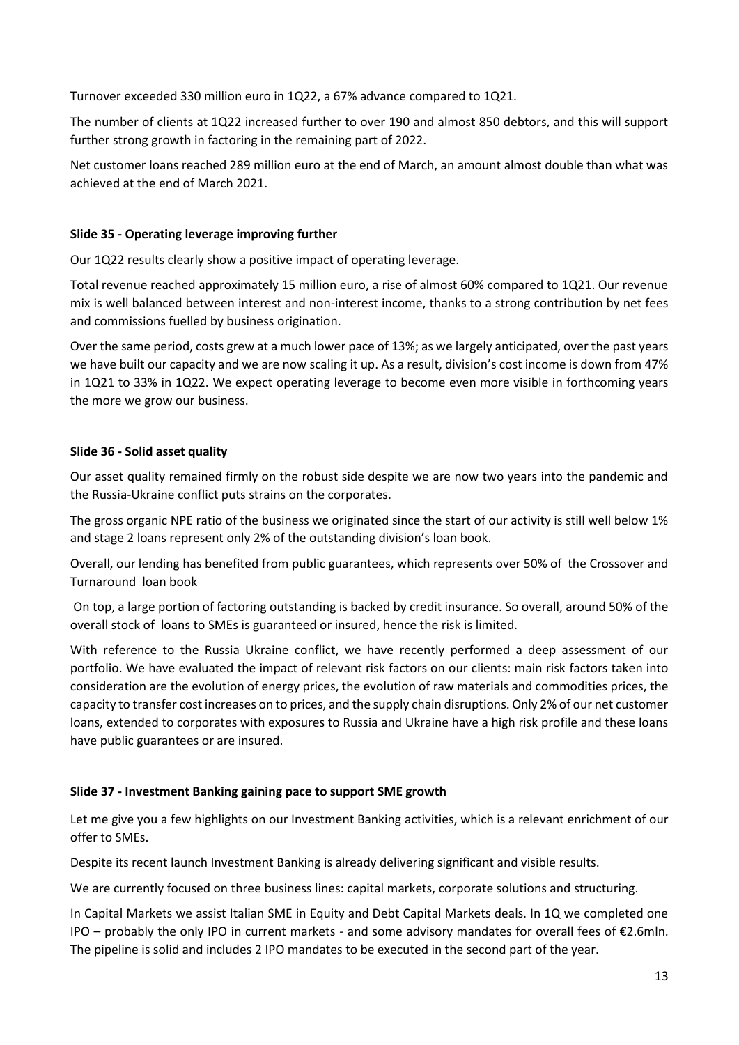Turnover exceeded 330 million euro in 1Q22, a 67% advance compared to 1Q21.

The number of clients at 1Q22 increased further to over 190 and almost 850 debtors, and this will support further strong growth in factoring in the remaining part of 2022.

Net customer loans reached 289 million euro at the end of March, an amount almost double than what was achieved at the end of March 2021.

# **Slide 35 - Operating leverage improving further**

Our 1Q22 results clearly show a positive impact of operating leverage.

Total revenue reached approximately 15 million euro, a rise of almost 60% compared to 1Q21. Our revenue mix is well balanced between interest and non-interest income, thanks to a strong contribution by net fees and commissions fuelled by business origination.

Over the same period, costs grew at a much lower pace of 13%; as we largely anticipated, over the past years we have built our capacity and we are now scaling it up. As a result, division's cost income is down from 47% in 1Q21 to 33% in 1Q22. We expect operating leverage to become even more visible in forthcoming years the more we grow our business.

## **Slide 36 - Solid asset quality**

Our asset quality remained firmly on the robust side despite we are now two years into the pandemic and the Russia-Ukraine conflict puts strains on the corporates.

The gross organic NPE ratio of the business we originated since the start of our activity is still well below 1% and stage 2 loans represent only 2% of the outstanding division's loan book.

Overall, our lending has benefited from public guarantees, which represents over 50% of the Crossover and Turnaround loan book

On top, a large portion of factoring outstanding is backed by credit insurance. So overall, around 50% of the overall stock of loans to SMEs is guaranteed or insured, hence the risk is limited.

With reference to the Russia Ukraine conflict, we have recently performed a deep assessment of our portfolio. We have evaluated the impact of relevant risk factors on our clients: main risk factors taken into consideration are the evolution of energy prices, the evolution of raw materials and commodities prices, the capacity to transfer cost increases on to prices, and the supply chain disruptions. Only 2% of our net customer loans, extended to corporates with exposures to Russia and Ukraine have a high risk profile and these loans have public guarantees or are insured.

# **Slide 37 - Investment Banking gaining pace to support SME growth**

Let me give you a few highlights on our Investment Banking activities, which is a relevant enrichment of our offer to SMEs.

Despite its recent launch Investment Banking is already delivering significant and visible results.

We are currently focused on three business lines: capital markets, corporate solutions and structuring.

In Capital Markets we assist Italian SME in Equity and Debt Capital Markets deals. In 1Q we completed one IPO – probably the only IPO in current markets - and some advisory mandates for overall fees of  $E2.6$ mln. The pipeline is solid and includes 2 IPO mandates to be executed in the second part of the year.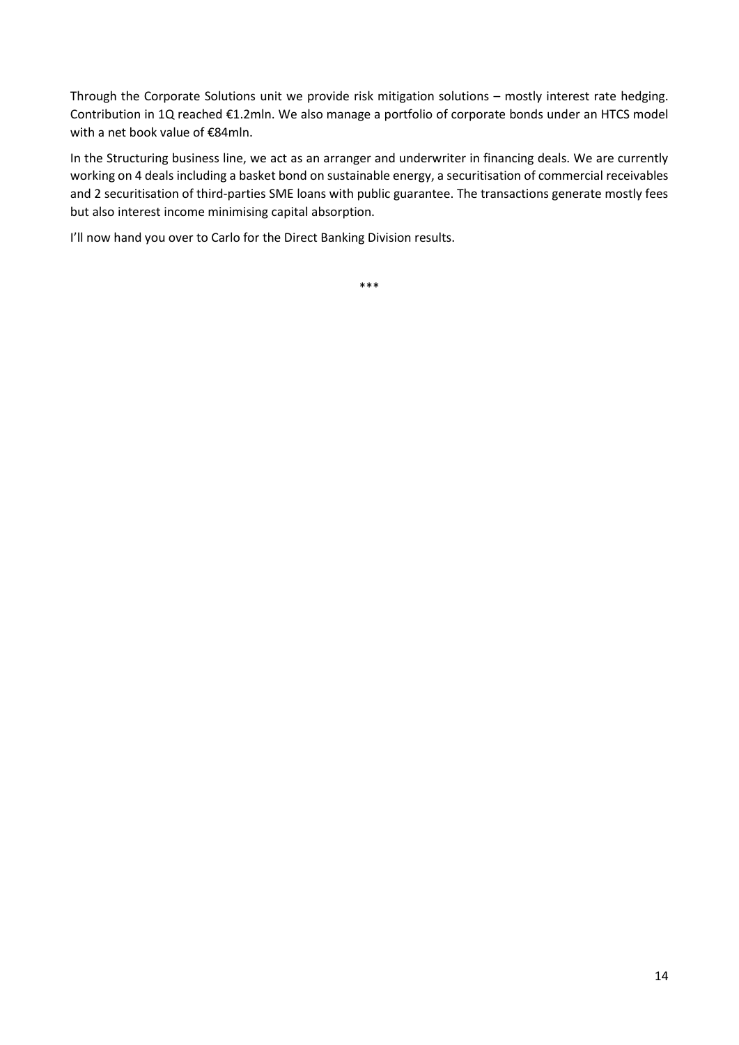Through the Corporate Solutions unit we provide risk mitigation solutions – mostly interest rate hedging. Contribution in 1Q reached €1.2mln. We also manage a portfolio of corporate bonds under an HTCS model with a net book value of €84mln.

In the Structuring business line, we act as an arranger and underwriter in financing deals. We are currently working on 4 deals including a basket bond on sustainable energy, a securitisation of commercial receivables and 2 securitisation of third-parties SME loans with public guarantee. The transactions generate mostly fees but also interest income minimising capital absorption.

I'll now hand you over to Carlo for the Direct Banking Division results.

\*\*\*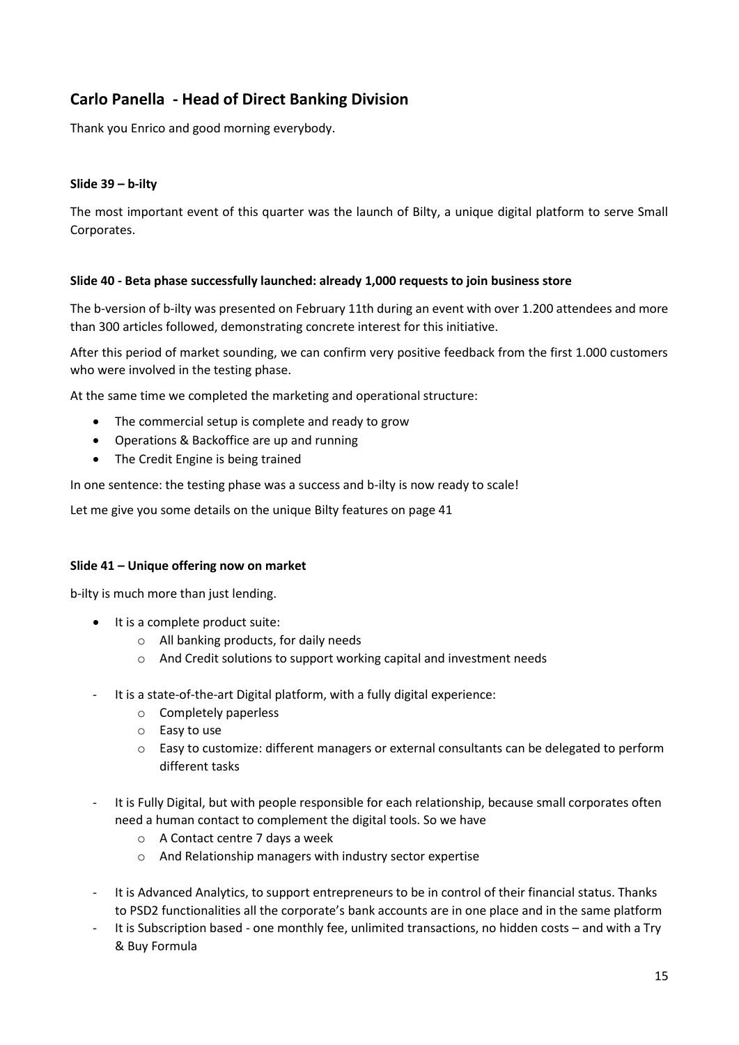# **Carlo Panella - Head of Direct Banking Division**

Thank you Enrico and good morning everybody.

# **Slide 39 – b-ilty**

The most important event of this quarter was the launch of Bilty, a unique digital platform to serve Small Corporates.

#### **Slide 40 - Beta phase successfully launched: already 1,000 requests to join business store**

The b-version of b-ilty was presented on February 11th during an event with over 1.200 attendees and more than 300 articles followed, demonstrating concrete interest for this initiative.

After this period of market sounding, we can confirm very positive feedback from the first 1.000 customers who were involved in the testing phase.

At the same time we completed the marketing and operational structure:

- The commercial setup is complete and ready to grow
- Operations & Backoffice are up and running
- The Credit Engine is being trained

In one sentence: the testing phase was a success and b-ilty is now ready to scale!

Let me give you some details on the unique Bilty features on page 41

#### **Slide 41 – Unique offering now on market**

b-ilty is much more than just lending.

- It is a complete product suite:
	- o All banking products, for daily needs
	- o And Credit solutions to support working capital and investment needs
- It is a state-of-the-art Digital platform, with a fully digital experience:
	- o Completely paperless
	- o Easy to use
	- o Easy to customize: different managers or external consultants can be delegated to perform different tasks
- It is Fully Digital, but with people responsible for each relationship, because small corporates often need a human contact to complement the digital tools. So we have
	- o A Contact centre 7 days a week
	- o And Relationship managers with industry sector expertise
- It is Advanced Analytics, to support entrepreneurs to be in control of their financial status. Thanks to PSD2 functionalities all the corporate's bank accounts are in one place and in the same platform
- It is Subscription based one monthly fee, unlimited transactions, no hidden costs and with a Try & Buy Formula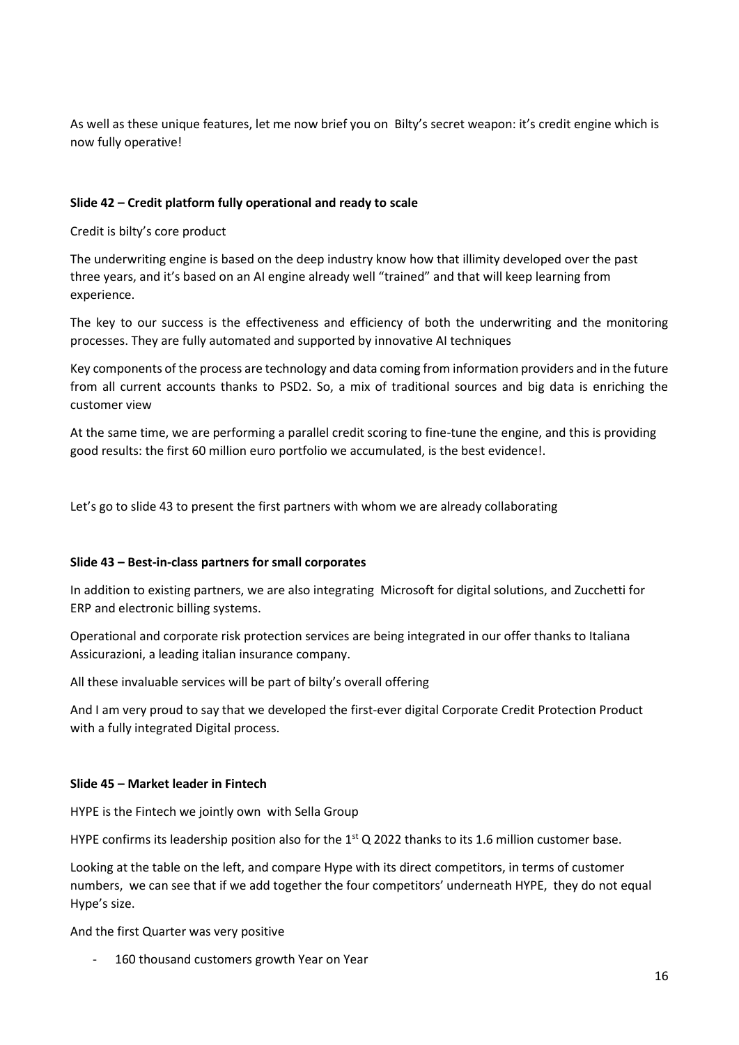As well as these unique features, let me now brief you on Bilty's secret weapon: it's credit engine which is now fully operative!

# **Slide 42 – Credit platform fully operational and ready to scale**

Credit is bilty's core product

The underwriting engine is based on the deep industry know how that illimity developed over the past three years, and it's based on an AI engine already well "trained" and that will keep learning from experience.

The key to our success is the effectiveness and efficiency of both the underwriting and the monitoring processes. They are fully automated and supported by innovative AI techniques

Key components of the process are technology and data coming from information providers and in the future from all current accounts thanks to PSD2. So, a mix of traditional sources and big data is enriching the customer view

At the same time, we are performing a parallel credit scoring to fine-tune the engine, and this is providing good results: the first 60 million euro portfolio we accumulated, is the best evidence!.

Let's go to slide 43 to present the first partners with whom we are already collaborating

#### **Slide 43 – Best-in-class partners for small corporates**

In addition to existing partners, we are also integrating Microsoft for digital solutions, and Zucchetti for ERP and electronic billing systems.

Operational and corporate risk protection services are being integrated in our offer thanks to Italiana Assicurazioni, a leading italian insurance company.

All these invaluable services will be part of bilty's overall offering

And I am very proud to say that we developed the first-ever digital Corporate Credit Protection Product with a fully integrated Digital process.

#### **Slide 45 – Market leader in Fintech**

HYPE is the Fintech we jointly own with Sella Group

HYPE confirms its leadership position also for the  $1<sup>st</sup>$  Q 2022 thanks to its 1.6 million customer base.

Looking at the table on the left, and compare Hype with its direct competitors, in terms of customer numbers, we can see that if we add together the four competitors' underneath HYPE, they do not equal Hype's size.

And the first Quarter was very positive

160 thousand customers growth Year on Year